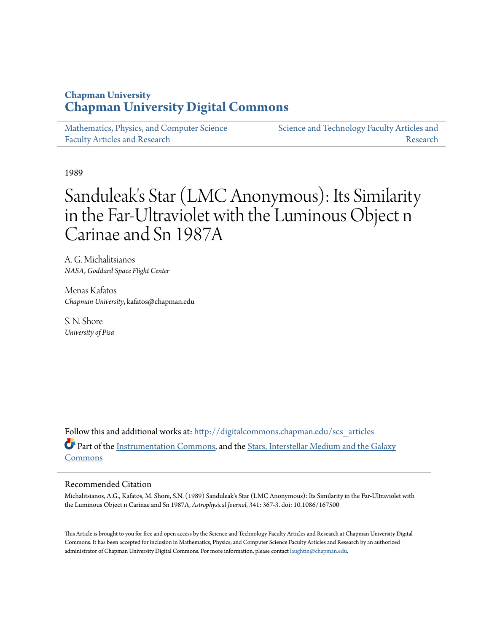## **Chapman University [Chapman University Digital Commons](http://digitalcommons.chapman.edu?utm_source=digitalcommons.chapman.edu%2Fscs_articles%2F109&utm_medium=PDF&utm_campaign=PDFCoverPages)**

[Mathematics, Physics, and Computer Science](http://digitalcommons.chapman.edu/scs_articles?utm_source=digitalcommons.chapman.edu%2Fscs_articles%2F109&utm_medium=PDF&utm_campaign=PDFCoverPages) [Faculty Articles and Research](http://digitalcommons.chapman.edu/scs_articles?utm_source=digitalcommons.chapman.edu%2Fscs_articles%2F109&utm_medium=PDF&utm_campaign=PDFCoverPages)

[Science and Technology Faculty Articles and](http://digitalcommons.chapman.edu/science_articles?utm_source=digitalcommons.chapman.edu%2Fscs_articles%2F109&utm_medium=PDF&utm_campaign=PDFCoverPages) [Research](http://digitalcommons.chapman.edu/science_articles?utm_source=digitalcommons.chapman.edu%2Fscs_articles%2F109&utm_medium=PDF&utm_campaign=PDFCoverPages)

1989

# Sanduleak's Star (LMC Anonymous): Its Similarity in the Far-Ultraviolet with the Luminous Object n Carinae and Sn 1987A

A. G. Michalitsianos *NASA, Goddard Space Flight Center*

Menas Kafatos *Chapman University*, kafatos@chapman.edu

S. N. Shore *University of Pisa*

Follow this and additional works at: [http://digitalcommons.chapman.edu/scs\\_articles](http://digitalcommons.chapman.edu/scs_articles?utm_source=digitalcommons.chapman.edu%2Fscs_articles%2F109&utm_medium=PDF&utm_campaign=PDFCoverPages) Part of the [Instrumentation Commons](http://network.bepress.com/hgg/discipline/125?utm_source=digitalcommons.chapman.edu%2Fscs_articles%2F109&utm_medium=PDF&utm_campaign=PDFCoverPages), and the [Stars, Interstellar Medium and the Galaxy](http://network.bepress.com/hgg/discipline/127?utm_source=digitalcommons.chapman.edu%2Fscs_articles%2F109&utm_medium=PDF&utm_campaign=PDFCoverPages) [Commons](http://network.bepress.com/hgg/discipline/127?utm_source=digitalcommons.chapman.edu%2Fscs_articles%2F109&utm_medium=PDF&utm_campaign=PDFCoverPages)

## Recommended Citation

Michalitsianos, A.G., Kafatos, M. Shore, S.N. (1989) Sanduleak's Star (LMC Anonymous): Its Similarity in the Far-Ultraviolet with the Luminous Object n Carinae and Sn 1987A, *Astrophysical Journal*, 341: 367-3. doi: 10.1086/167500

This Article is brought to you for free and open access by the Science and Technology Faculty Articles and Research at Chapman University Digital Commons. It has been accepted for inclusion in Mathematics, Physics, and Computer Science Faculty Articles and Research by an authorized administrator of Chapman University Digital Commons. For more information, please contact [laughtin@chapman.edu.](mailto:laughtin@chapman.edu)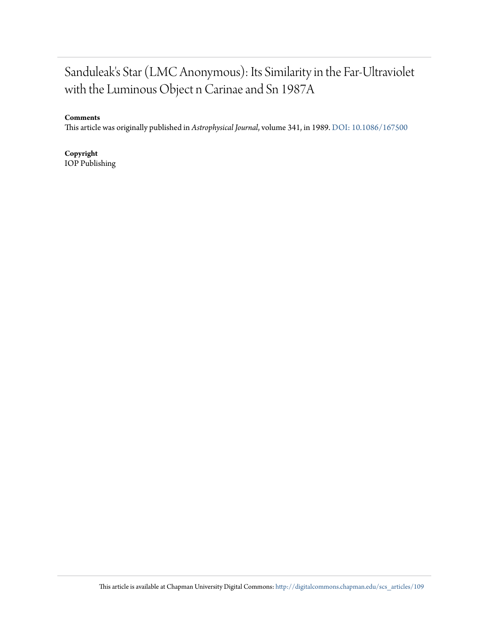## Sanduleak's Star (LMC Anonymous): Its Similarity in the Far-Ultraviolet with the Luminous Object n Carinae and Sn 1987A

## **Comments**

This article was originally published in *Astrophysical Journal*, volume 341, in 1989. [DOI: 10.1086/167500](http://dx.doi.org/10.1086/167500)

**Copyright** IOP Publishing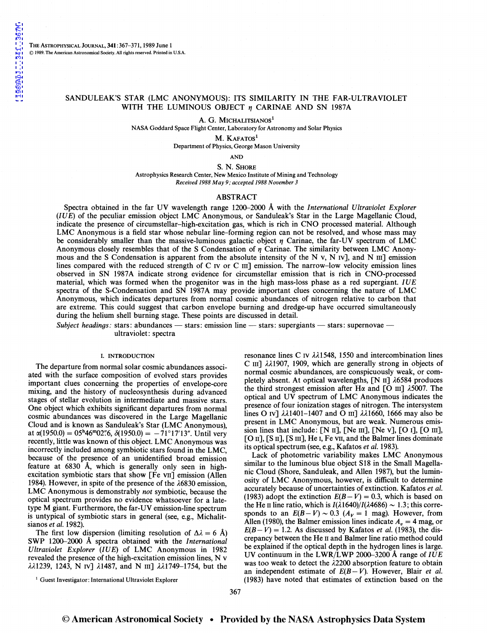THE AsTROPHYSICAL JoURNAL, 341:367-371, 1989 June 1 © 1989. The American Astronomical Society. All rights reserved. Printed in U.S.A.

### SANDULEAK'S STAR (LMC ANONYMOUS): ITS SIMILARITY IN THE FAR-ULTRAVIOLET WITH THE LUMINOUS OBJECT  $\eta$  CARINAE AND SN 1987A

A. G. MICHALITSIANOS<sup>1</sup>

NASA Goddard Space Flight Center, Laboratory for Astronomy and Solar Physics

M. KAFATOS<sup>1</sup> Department of Physics, George Mason University

AND

S. N. SHORE

Astrophysics Research Center, New Mexico Institute of Mining and Technology *Received 1988 May 9; accepted 1988 November 3* 

#### ABSTRACT

Spectra obtained in the far UV wavelength range 1200-2000 A with the *International Ultraviolet Explorer*   $(IUE)$  of the peculiar emission object LMC Anonymous, or Sanduleak's Star in the Large Magellanic Cloud, indicate the presence of circumstellar-high-excitation gas, which is rich in CNO processed material. Although LMC Anonymous is a field star whose nebular line-forming region can not be resolved, and whose mass may be considerably smaller than the massive-luminous galactic object *n* Carinae, the far-UV spectrum of LMC Anonymous closely resembles that of the S Condensation of  $\eta$  Carinae. The similarity between LMC Anonymous and the S Condensation is apparent from the absolute intensity of the N v, N IV], and N III] emission lines compared with the reduced strength of C IV or C III] emission. The narrow-low velocity emission lines observed in SN 1987A indicate strong evidence for circumstellar emission that is rich in CNO-processed material, which was formed when the progenitor was in the high mass-loss phase as a red supergiant. *IUE*  spectra of the S-Condensation and SN 1987A may provide important clues concerning the nature of LMC Anonymous, which indicates departures from normal cosmic abundances of nitrogen relative to carbon that are extreme. This could suggest that carbon envelope burning and dredge-up have occurred simultaneously during the helium shell burning stage. These points are discussed in detail.

*Subject headings: stars: abundances* — stars: emission line — stars: supergiants — stars: supernovae ultraviolet: spectra

#### I. INTRODUCTION

The departure from normal solar cosmic abundances associ ated with the surface composition of evolved stars provides important clues concerning the properties of envelope-core mixing, and the history of nucleosynthesis during advanced stages of stellar evolution in intermediate and massive stars. One object which exhibits significant departures from normal cosmic abundances was discovered in the Large Magellanic Cloud and is known as Sanduleak's Star (LMC Anonymous), at  $\alpha(1950.0) = 05^{\text{h}}46^{\text{m}}02\%$ ,  $\delta(1950.0) = -71^{\circ}17'13''$ . Until very recently, little was known of this object. LMC Anonymous was incorrectly included among symbiotic stars found in the LMC, because of the presence of an unidentified broad emission feature at  $6830~\text{\AA}$ , which is generally only seen in highexcitation symbiotic stars that show [Fe vII] emission (Allen 1984). However, in spite of the presence of the  $\lambda$ 6830 emission, LMC Anonymous is demonstrably *not* symbiotic, because the optical spectrum provides no evidence whatsoever for a latetype M giant. Furthermore, the far-UV emission-line spectrum is untypical of symbiotic stars in general (see, e.g., Michalitsianos *et al.* 1982).

The first low dispersion (limiting resolution of  $\Delta \lambda = 6$  Å) SWP 1200-2000 A spectra obtained with the *International Ultraviolet Explorer (IUE)* of LMC Anonymous in 1982 revealed the presence of the high-excitation emission lines, N v  $\lambda$  $\lambda$ 1239, 1243, N Iv]  $\lambda$ 1487, and N III]  $\lambda$  $\lambda$ 1749–1754, but the

resonance lines C IV  $\lambda\lambda$ 1548, 1550 and intercombination lines C III]  $\lambda\lambda$ 1907, 1909, which are generally strong in objects of normal cosmic abundances, are conspicuously weak, or completely absent. At optical wavelengths,  $[N \text{ II}]$   $\lambda$ 6584 produces the third strongest emission after  $H\alpha$  and [O m]  $\lambda$ 5007. The optical and UV spectrum of LMC Anonymous indicates the presence of four ionization stages of nitrogen. The intersystem lines O IV]  $\lambda\lambda$ 1401-1407 and O III]  $\lambda\lambda$ 1660, 1666 may also be present in LMC Anonymous, but are weak. Numerous emission lines that include: [N II], [Ne III], [Ne v], [O I], [O III], [O II], [S II], [S III], He I, Fe VII, and the Balmer lines dominate its optical spectrum (see, e.g., Kafatos *et al.* 1983).

Lack of photometric variability makes LMC Anonymous similar to the luminous blue object S18 in the Small Magellanic Cloud (Shore, Sanduleak, and Allen 1987), but the luminosity of LMC Anonymous, however, is difficult to determine accurately because of uncertainties of extinction. Kafatos *et al.*  (1983) adopt the extinction  $E(B-V) = 0.3$ , which is based on the He II line ratio, which is  $I(\lambda 1640)/I(\lambda 4686) \sim 1.3$ ; this corresponds to an  $E(B-V) \sim 0.3$  ( $A_V = 1$  mag). However, from Allen (1980), the Balmer emission lines indicate  $A<sub>n</sub> = 4$  mag, or  $E(B-V) = 1.2$ . As discussed by Kafatos *et al.* (1983), the discrepancy between the He II and Balmer line ratio method could be explained if the optical depth in the hydrogen lines is large. UV continuum in the LWR/LWP 2000-3200 A range of *IUE*  was too weak to detect the  $\lambda$ 2200 absorption feature to obtain an independent estimate of  $E(B-V)$ . However, Blair *et al.* (1983) have noted that estimates of extinction based on the

<sup>1</sup> Guest Investigator: International Ultraviolet Explorer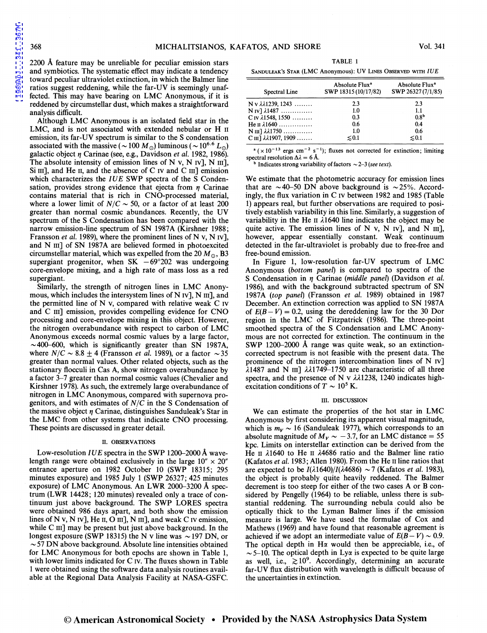[1989ApJ...341..367M](http://adsabs.harvard.edu/abs/1989ApJ...341..367M)

1989ApJ...341..367M

2200 A feature may be unreliable for peculiar emission stars and symbiotics. The systematic effect may indicate a tendency toward peculiar ultraviolet extinction, in which the Balmer line ratios suggest reddening, while the far-UV is seemingly unaffected. This may have bearing on LMC Anonymous, if it is reddened by circumstellar dust, which makes a straightforward analysis difficult.

Although LMC Anonymous is an isolated field star in the LMC, and is not associated with extended nebular or H  $\scriptstyle\rm II$ emission, its far-UV spectrum is similar to the S condensation associated with the massive ( $\sim$  100 M<sub>o</sub>) luminous ( $\sim$  10<sup>6.6</sup> L<sub>o</sub>) galactic object *17* Carinae (see, e.g., Davidson *et al.* 1982, 1986). The absolute intensity of emission lines of N v, N  $\text{IV}$ ], N  $\text{III}$ ], Si III], and He II, and the absence of C IV and C III] emission which characterizes the *IUE* SWP spectra of the S Condensation, provides strong evidence that ejecta from  $\eta$  Carinae contains material that is rich in CNO-processed material, where a lower limit of  $N/C \sim 50$ , or a factor of at least 200 greater than normal cosmic abundances. Recently, the UV spectrum of the S Condensation has been compared with the narrow emission-line spectrum of SN 1987A (Kirshner 1988; Fransson *et al.* 1989), where the prominent lines of N v, N IV], and N III] of SN 1987A are believed formed in photoexcited circumstellar material, which was expelled from the 20  $M_{\odot}$ , B3 supergiant progenitor, when SK  $-69^{\circ}202$  was undergoing core-envelope mixing, and a high rate of mass loss as a red supergiant.

Similarly, the strength of nitrogen lines in LMC Anonymous, which includes the intersystem lines of  $N$  IV],  $N$  III], and the permitted line of N v, compared with relative weak C IV and C III] emission, provides compelling evidence for CNO processing and core-envelope mixing in this object. However, the nitrogen overabundance with respect to carbon of LMC Anonymous exceeds normal cosmic values by a large factor,  $\sim$  400-600, which is significantly greater than SN 1987A, where  $N/C \sim 8.8 \pm 4$  (Fransson *et al.* 1989), or a factor  $\sim 35$ greater than normal values. Other related objects, such as the stationary flocculi in Cas A, show nitrogen overabundance by a factor 3-7 greater than normal cosmic values (Chevalier and Kirshner 1978). As such, the extremely large overabundance of nitrogen in LMC Anonymous, compared with supernova progenitors, and with estimates of  $N/C$  in the S Condensation of the massive object *17* Carinae, distinguishes Sanduleak's Star in the LMC from other systems that indicate CNO processing. These points are discussed in greater detail.

#### II. OBSERVATIONS

Low-resolution *IUE* spectra in the SWP 1200-2000 Å wavelength range were obtained exclusively in the large  $10'' \times 20''$ entrance aperture on 1982 October 10 (SWP 18315; 295 minutes exposure) and 1985 July 1 (SWP 26327; 425 minutes exposure) of LMC Anonymous. An LWR 2000-3200 A spectrum (LWR 14428; 120 minutes) revealed only a trace of continuum just above background. The SWP LORES spectra were obtained 986 days apart, and both show the emission lines of N v, N Iv], He II, O III], N III], and weak C Iv emission, while C III] may be present but just above background. In the longest exposure (SWP 18315) the N v line was  $\sim$  197 DN, or  $\sim$  57 DN above background. Absolute line intensities obtained for LMC Anonymous for both epochs are shown in Table 1, with lower limits indicated for C IV. The fluxes shown in Table 1 were obtained using the software data analysis routines available at the Regional Data Analysis Facility at NASA-GSFC.

TABLE 1

| SANDULEAK'S STAR (LMC Anonymous): UV LINES OBSERVED WITH IUE |  |  |  |
|--------------------------------------------------------------|--|--|--|
|                                                              |  |  |  |

| Spectral Line                                | Absolute Flux <sup>a</sup><br>SWP 18315 (10/17/82) | Absolute Flux <sup>a</sup><br>SWP 26327 (7/1/85) |  |  |
|----------------------------------------------|----------------------------------------------------|--------------------------------------------------|--|--|
| $N v \lambda \lambda 1239, 1243 \ldots$      | 2.3                                                | 2.3                                              |  |  |
| $N$ IV] $\lambda$ 1487                       | 1.0                                                | 1.1                                              |  |  |
| C IV $\lambda$ 1548, 1550                    | 0.3                                                | 0.8 <sup>b</sup>                                 |  |  |
| He II $\lambda$ 1640                         | 0.6                                                | 0.4                                              |  |  |
| $N \text{ III}$ $\lambda \lambda 1750$       | 1.0                                                | 0.6                                              |  |  |
| $C \text{ III}$ $\lambda \lambda$ 1907, 1909 | $\lesssim 0.1$                                     | $\leq 0.1$                                       |  |  |

<sup>a</sup> ( $\times$  10<sup>-13</sup> ergs cm<sup>-2</sup> s<sup>-1</sup>); fluxes not corrected for extinction; limiting spectral resolution  $\Delta \lambda = 6$  Å.

 $^{\rm b}$  Indicates strong variability of factors  $\sim$  2-3 *(see text)*.

We estimate that the photometric accuracy for emission lines that are  $\sim$ 40-50 DN above background is  $\sim$ 25%. Accordingly, the flux variation in C IV between 1982 and 1985 (Table 1) appears real, but further observations are required to positively establish variability in this line. Similarly, a suggestion of variability in the He  $\pi$   $\lambda$ 1640 line indicates the object may be quite active. The emission lines of N v, N  $\text{IV}$ ], and N  $\text{III}$ ], however, appear essentially constant. Weak continuum detected in the far-ultraviolet is probably due to free-free and free-bound emission.

In Figure 1, low-resolution far-UV spectrum of LMC Anonymous *(bottom panel)* is compared to spectra of the S Condensation in *17* Carinae *(middle panel)* (Davidson *et al.*  1986), and with the background subtracted spectrum of SN 1987A *(top panel)* (Fransson *et al.* 1989) obtained in 1987 December. An extinction correction was applied to SN 1987A of  $E(B-V) = 0.2$ , using the dereddening law for the 30 Dor region in the LMC of Fitzpatrick (1986). The three-point smoothed spectra of the S Condensation and LMC Anonymous are not corrected for extinction. The continuum in the SWP 1200-2000 A range was quite weak, so an extinctioncorrected spectrum is not feasible with the present data. The prominence of the nitrogen intercombination lines of N IV]  $\lambda$ 1487 and N III]  $\lambda\lambda$ 1749-1750 are characteristic of all three spectra, and the presence of N v  $\lambda\lambda$ 1238, 1240 indicates highexcitation conditions of  $T \sim 10^5$  K.

#### III. DISCUSSION

We can estimate the properties of the hot star in LMC Anonymous by first considering its apparent visual magnitude, which is  $m_V \sim 16$  (Sanduleak 1977), which corresponds to an absolute magnitude of  $M_V \sim -3.7$ , for an LMC distance = 55 kpc. Limits on interstellar extinction can be derived from the He  $\pi$   $\lambda$ 1640 to He  $\pi$   $\lambda$ 4686 ratio and the Balmer line ratio (Kafatos *et al.* 1983; Allen 1980). From the He 11 line ratios that are expected to be  $I(\lambda 1640)/I(\lambda 4686) \sim 7$  (Kafatos *et al.* 1983), the object is probably quite heavily reddened. The Balmer decrement is too steep for either of the two cases A or B considered by Pengelly (1964) to be reliable, unless there is substantial reddening. The surrounding nebula could also be optically thick to the Lyman Balmer lines if the emission measure is large. We have used the formulae of Cox and Mathews (1969) and have found that reasonable agreement is achieved if we adopt an intermediate value of  $E(B-V) \sim 0.9$ . The optical depth in  $H\alpha$  would then be appreciable, i.e., of  $\sim$  5-10. The optical depth in Ly $\alpha$  is expected to be quite large as well, i.e.,  $\gtrsim 10^9$ . Accordingly, determining an accurate far-UV flux distribution with wavelength is difficult because of the uncertainties in extinction.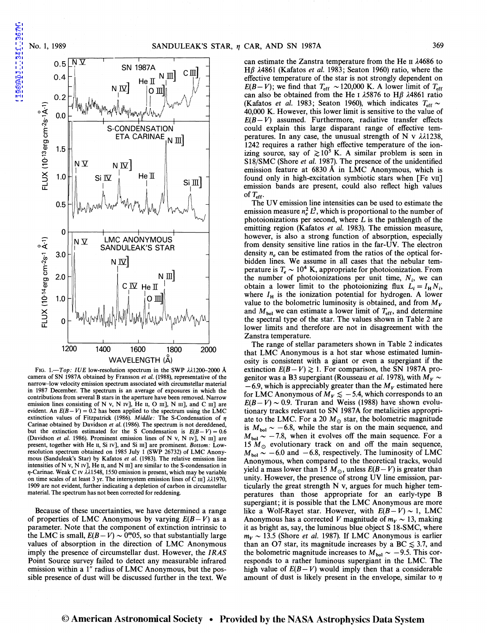1989ApJ...341..367M



FIG. 1.-Top: IUE low-resolution spectrum in the SWP  $\lambda\lambda$ 1200-2000 Å camera of SN 1987A obtained by Fransson et al. (1988), representative of the narrow-low velocity emission spectrum associated with circumstellar material in 1987 December. The spectrum is an average of exposures in which the contributions from several B stars in the aperture have been removed. Narrow emission lines consisting of N v, N IV], He II, O III], N III], and C III] are evident. An  $E(B-V) = 0.2$  has been applied to the spectrum using the LMC extinction values of Fitzpatrick (1986). *Middle:* The S-Condensation of  $\eta$ Carinae obtained by Davidson *et al.* (1986). The spectrum is not dereddened, but the extinction estimated for the S Condensation is  $E(B-V) = 0.6$ (Davidson *et a/.* 1986). Prominent emission lines of N v, N IV], N III] are present, together with He 11, Si IV], and Si III] are prominent. *Bottom:* Lowresolution spectrum obtained on 1985 July 1 (SWP 26732) of LMC Anonymous (Sanduleak's Star) by Kafatos *et a/.* (1983). The relative emission line intensities of N v, N Iv], He II, and N III] are similar to the S-condensation in  $\eta$ -Carinae. Weak C IV  $\lambda\lambda$ 1548, 1550 emission is present, which may be variable on time scales of at least 3 yr. The intersystem emission lines of C  $\text{III}$ ]  $\lambda\lambda$ 1970, 1909 are not evident, further indicating a depletion of carbon in circumstellar material. The spectrum has not been corrected for reddening.

Because of these uncertainties, we have determined a range of properties of LMC Anonymous by varying  $E(B-V)$  as a parameter. Note that the component of extinction intrinsic to the LMC is small,  $E(B-V) \sim 0^{m}05$ , so that substantially large values of absorption in the direction of LMC Anonymous imply the presence of circumstellar dust. However, the *IRAS*  Point Source survey failed to detect any measurable infrared emission within a 1" radius of LMC Anonymous, but the possible presence of dust will be discussed further in the text. We can estimate the Zanstra temperature from the He  $II$   $\lambda$ 4686 to H<sub>B</sub>  $\lambda$ 4861 (Kafatos *et al.* 1983; Seaton 1960) ratio, where the effective temperature of the star is not strongly dependent on  $E(B-V)$ ; we find that  $T_{\text{eff}} \sim 120,000$  K. A lower limit of  $T_{\text{eff}}$ can also be obtained from the He I  $\lambda$ 5876 to H $\beta$   $\lambda$ 4861 ratio (Kafatos *et al.* 1983; Seaton 1960), which indicates  $T_{\text{eff}} \sim$ 40,000 K. However, this lower limit is sensitive to the value of  $E(B-V)$  assumed. Furthermore, radiative transfer effects could explain this large disparant range of effective temperatures. In any case, the unusual strength of N v  $\lambda\lambda$ 1238, 1242 requires a rather high effective temperature of the ionizing source, say of  $\geq 10^5$  K. A similar problem is seen in S18/SMC (Shore *et al.* 1987). The presence of the unidentified emission feature at  $6830 \text{ Å}$  in LMC Anonymous, which is found only in high-excitation symbiotic stars when [Fe VII] emission bands are present, could also reflect high values of  $T_{\rm eff}$ .

The UV emission line intensities can be used to estimate the emission measure  $n_e^2 L^3$ , which is proportional to the number of photoionizations per second, where  $L$  is the pathlength of the emitting region (Kafatos *et al.* 1983). The emission measure, however, is also a strong function of absorption, especially from density sensitive line ratios in the far-UV. The electron density *n<sub>e</sub>* can be estimated from the ratios of the optical forbidden lines. We assume in all cases that the nebular temperature is  $T_e \sim 10^4$  K, appropriate for photoionization. From the number of photoionizations per unit time,  $N_i$ , we can obtain a lower limit to the photoionizing flux  $L_i = I_H N_i$ , where  $I_H$  is the ionization potential for hydrogen. A lower value to the bolometric luminosity is obtained, and from *My*  and  $M_{bol}$  we can estimate a lower limit of  $T_{eff}$ , and determine the spectral type of the star. The values shown in Table 2 are lower limits and therefore are not in disagreement with the Zanstra temperature.

The range of stellar parameters shown in Table 2 indicates that LMC Anonymous is a hot star whose estimated luminosity is consistent with a giant or even a supergiant if the extinction  $E(B-V) \ge 1$ . For comparison, the SN 1987A progenitor was a B3 supergiant (Rousseau *et al.* 1978), with  $M_V \sim$  $-6.9$ , which is appreciably greater than the  $M_V$  estimated here for LMC Anonymous of  $M_V \lesssim -5.4$ , which corresponds to an  $E(B-V) \sim 0.9$ . Truran and Weiss (1988) have shown evolutionary tracks relevant to SN 1987A for metalicities appropriate to the LMC. For a 20  $M_{\odot}$  star, the bolometric magnitude is  $M_{bol} \sim -6.8$ , while the star is on the main sequence, and  $M_{bol} \sim -7.8$ , when it evolves off the main sequence. For a 15  $M_{\odot}$  evolutionary track on and off the main sequence,  $M_{\text{bol}} \sim -6.0$  and  $-6.8$ , respectively. The luminosity of LMC Anonymous, when compared to the theoretical tracks, would yield a mass lower than 15  $M_{\odot}$ , unless  $E(B-V)$  is greater than unity. However, the presence of strong UV line emission, particularly the great strength N v, argues for much higher temperatures than those appropriate for an early-type B supergiant; it is possible that the LMC Anonymous are more like a Wolf-Rayet star. However, with  $E(B-V) \sim 1$ , LMC Anonymous has a corrected V magnitude of  $m_V \sim 13$ , making it as bright as, say, the luminous blue object S 18-SMC, where  $m_V \sim 13.5$  (Shore *et al.* 1987). If LMC Anonymous is earlier than an O7 star, its magnitude increases by a BC  $\leq 3.7$ , and the bolometric magnitude increases to  $M_{bol} \sim -9.5$ . This corresponds to a rather luminous supergiant in the LMC. The high value of  $E(B-V)$  would imply then that a considerable amount of dust is likely present in the envelope, similar to  $\eta$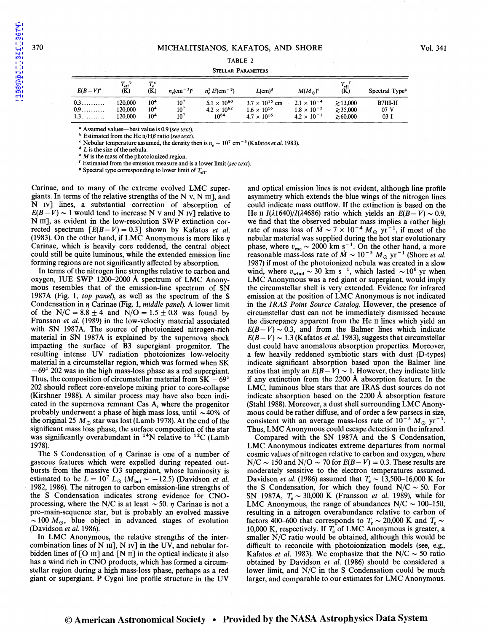$\equiv$ 

[1989ApJ...341..367M](http://adsabs.harvard.edu/abs/1989ApJ...341..367M)

1989ApJ...341..367M

#### TABLE 2

### STELLAR PARAMETERS

| $E(B-V)^a$ | $T_{\rm eff}$ <sup>b</sup><br>(K) | $T_e^c$<br>(K)  | $n_c$ (cm <sup>-3</sup> ) <sup>c</sup> | $n_e^2 L^3$ (cm <sup>-3</sup> ) | $L$ (cm) <sup>d</sup>   | $M(M_{\odot})^c$     | $T_{\rm eff}$ <sup>f</sup><br>(K) | Spectral Type <sup>8</sup> |
|------------|-----------------------------------|-----------------|----------------------------------------|---------------------------------|-------------------------|----------------------|-----------------------------------|----------------------------|
| 0.3        | 120,000                           | 10 <sup>4</sup> | $10^{7}$                               | $5.1 \times 10^{60}$            | $3.7 \times 10^{15}$ cm | $2.1 \times 10^{-4}$ | $\geq 13,000$                     | B7III-II                   |
| 0.9        | 120,000                           | 10 <sup>4</sup> | $10^{7}$                               | $4.2 \times 10^{62}$            | $1.6 \times 10^{16}$    | $1.8 \times 10^{-2}$ | $\geq 35,000$                     | 07 V                       |
| 1.3        | 120,000                           | 10 <sup>4</sup> | 10 <sup>7</sup>                        | $10^{64}$                       | $4.7 \times 10^{16}$    | $4.2 \times 10^{-1}$ | $\geq 60,000$                     | 03 I                       |

• Assumed values-best value is 0.9 *(see text).* 

 $<sup>b</sup>$  Estimated from the He  $\text{II}/\text{H}\beta$  ratio (see text).</sup>

Nebular temperature assumed, the density then is  $n_a \sim 10^7$  cm<sup>-3</sup> (Kafatos *et al.* 1983).

 $\triangle$  L is the size of the nebula.

 $M$  is the mass of the photoionized region.

' Estimated from the emission measure and is a lower limit *(see text).* 

 $\epsilon$  Spectral type corresponding to lower limit of  $T_{\text{eff}}$ .

Carinae, and to many of the extreme evolved LMC supergiants. In terms of the relative strengths of the N v, N  $\text{III}$ , and N IV] lines, a substantial correction of absorption of  $E(B-V) \sim 1$  would tend to increase N v and N IV] relative to N III], as evident in the low-resolution SWP extinction corrected spectrum  $\lceil E(B-V) = 0.3 \rceil$  shown by Kafatos *et al.* (1983). On the other hand, if LMC Anonymous is more like  $\eta$ Carinae, which is heavily core reddened, the central object could still be quite luminous, while the extended emission line forming regions are not significantly affected by absorption.

In terms of the nitrogen line strengths relative to carbon and oxygen, IUE SWP 1200-2000  $\AA$  spectrum of LMC Anonymous resembles that of the emission-line spectrum of SN 1987A (Fig. 1, *top panel*), as well as the spectrum of the S Condensation in *η* Carinae (Fig. 1, *middle panel*). A lower limit of the N/C =  $8.8 \pm 4$  and N/O =  $1.5 \pm 0.8$  was found by Fransson *et al.* (1989) in the low-velocity material associated with SN 1987A. The source of photoionized nitrogen-rich material in SN 1987A is explained by the supernova shock impacting the surface of B3 supergiant progenitor. The resulting intense UV radiation photoionizes low-velocity material in a circumstellar region, which was formed when SK - 69° 202 was in the high mass-loss phase as a red supergiant. Thus, the composition of circumstellar material from  $SK -69^{\circ}$ 202 should reflect core-envelope mixing prior to core-collapse (Kirshner 1988). A similar process may have also been indicated in the supernova remnant Cas A, where the progenitor probably underwent a phase of high mass loss, until  $\sim$  40% of the original 25  $M_{\odot}$  star was lost (Lamb 1978). At the end of the significant mass loss phase, the surface composition of the star was significantly overabundant in  $14N$  relative to  $12C$  (Lamb 1978).

The S Condensation of  $\eta$  Carinae is one of a number of gaseous features which were expelled during repeated outbursts from the massive 03 supergiant, whose luminosity is estimated to be  $L = 10^7 L_{\odot} (M_{bol} \sim -12.5)$  (Davidson *et al.* 1982, 1986). The nitrogen to carbon emission-line strengths of the S Condensation indicates strong evidence for CNOprocessing, where the N/C is at least  $\sim$  50.  $\eta$  Carinae is not a pre-main-sequence star, but is probably an evolved massive  $\sim$ 100 M<sub>o</sub>, blue object in advanced stages of evolution (Davidson *et al.* 1986).

In LMC Anonymous, the relative strengths of the intercombination lines of N  $III$ ], N  $IV$ ] in the UV, and nebular forbidden lines of  $[O \text{ III}]$  and  $[N \text{ II}]$  in the optical indicate it also has a wind rich in CNO products, which has formed a circumstellar region during a high mass-loss phase, perhaps as a red giant or supergiant. P Cygni line profile structure in the UV

and optical emission lines is not evident, although line profile asymmetry which extends the blue wings of the nitrogen lines could indicate mass outflow. If the extinction is based on the He II  $I(\lambda 1640)/I(\lambda 4686)$  ratio which yields an  $E(B-V) \sim 0.9$ . we find that the observed nebular mass implies a rather high rate of mass loss of  $\dot{M} \sim 7 \times 10^{-4} M_{\odot}$  yr<sup>-1</sup>, if most of the nebular material was supplied during the hot star evolutionary phase, where  $v_{\text{esc}} \sim 2000 \text{ km s}^{-1}$ . On the other hand, a more reasonable mass-loss rate of  $\dot{M} \sim 10^{-5} M_{\odot}$  yr<sup>-1</sup> (Shore *et al.* 1987) if most of the photoionized nebula was created in a slow wind, where  $v_{\text{wind}} \sim 30 \text{ km s}^{-1}$ , which lasted  $\sim 10^6 \text{ yr}$  when LMC Anonymous was a red giant or supergiant, would imply the circumstellar shell is very extended. Evidence for infrared emission at the position of LMC Anonymous is not indicated in the *IRAS Point Source Catalog.* However, the presence of circumstellar dust can not be immediately dismissed because the discrepancy apparent from the He II lines which yield an  $E(B-V) \sim 0.3$ , and from the Balmer lines which indicate  $E(B-V) \sim 1.3$  (Kafatos *et al.* 1983), suggests that circumstellar dust could have anomalous absorption properties. Moreover, a few heavily reddened symbiotic stars with dust (D-types) indicate significant absorption based upon the Balmer line ratios that imply an  $E(B-V) \sim 1$ . However, they indicate little if any extinction from the 2200 A absorption feature. In the LMC, luminous blue stars that are IRAS dust sources do not indicate absorption based on the 2200 A absorption feature (Stahl 1988). Moreover, a dust shell surrounding LMC Anonymous could be rather diffuse, and of order a few parsecs in size, consistent with an average mass-loss rate of  $10^{-5} M_{\odot}$  yr<sup>-1</sup>. Thus, LMC Anonymous could escape detection in the infrared.

Compared with the SN 1987A and the S Condensation, LMC Anonymous indicates extreme departures from normal cosmic values of nitrogen relative to carbon and oxygen, where  $N/C \sim 150$  and  $N/O \sim 70$  for  $E(B-V) = 0.3$ . These results are moderately sensitive to the electron temperatures assumed. Davidson *et al.* (1986) assumed that  $T_e \sim 13{,}500{-}16{,}000$  K for the S Condensation, for which they found  $N/C \sim 50$ . For SN 1987A,  $T_e \sim 30,000$  K (Fransson *et al.* 1989), while for LMC Anonymous, the range of abundances  $N/C \sim 100-150$ , resulting in a nitrogen overabundance relative to carbon of factors 400–600 that corresponds to  $T_e \sim 20,000$  K and  $T_e \sim$ 10,000 K, respectively. If  $T_e$  of LMC Anonymous is greater, a smaller N/C ratio would be obtained, although this would be difficult to reconcile with photoionization models (see, e.g., Kafatos *et al.* 1983). We emphasize that the N/C  $\sim$  50 ratio obtained by Davidson *et al.* (1986) should be considered a lower limit, and N/C in the S Condensation could be much larger, and comparable to our estimates for LMC Anonymous.